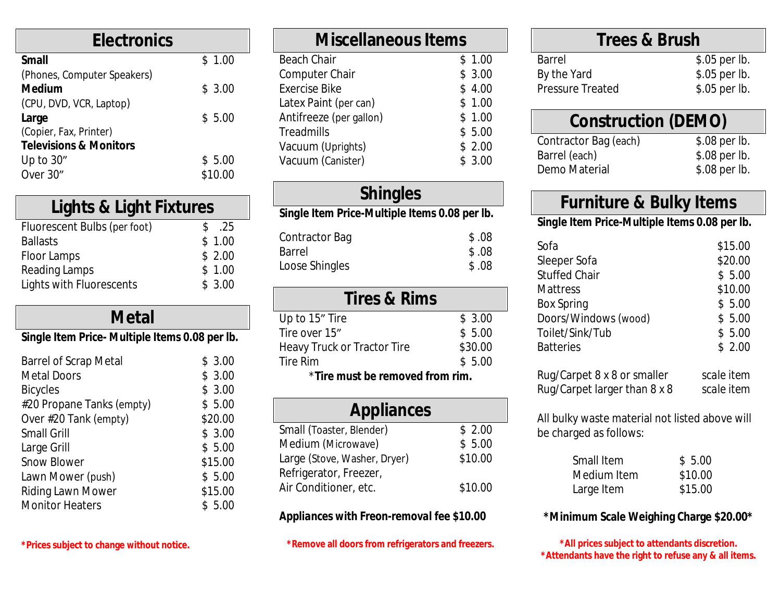| \$1.00  |
|---------|
|         |
| \$3.00  |
|         |
| \$5.00  |
|         |
|         |
| \$5.00  |
| \$10.00 |
|         |

## **Lights & Light Fixtures**

| Fluorescent Bulbs (per foot) | S. | .25    |
|------------------------------|----|--------|
| <b>Ballasts</b>              |    | \$1.00 |
| Floor Lamps                  |    | \$2.00 |
| Reading Lamps                |    | \$1.00 |
| Lights with Fluorescents     |    | \$3.00 |
|                              |    |        |

## **Metal**

#### *Single Item Price- Multiple Items 0.08 per lb.*

| <b>Barrel of Scrap Metal</b> | \$3.00  |
|------------------------------|---------|
| <b>Metal Doors</b>           | \$3.00  |
| <b>Bicycles</b>              | \$3.00  |
| #20 Propane Tanks (empty)    | \$5.00  |
| Over #20 Tank (empty)        | \$20.00 |
| <b>Small Grill</b>           | \$3.00  |
| Large Grill                  | \$5.00  |
| <b>Snow Blower</b>           | \$15.00 |
| Lawn Mower (push)            | \$5.00  |
| Riding Lawn Mower            | \$15.00 |
| <b>Monitor Heaters</b>       | \$5.00  |
|                              |         |

| <b>Miscellaneous Items</b> |        |
|----------------------------|--------|
| <b>Beach Chair</b>         | \$1.00 |
| <b>Computer Chair</b>      | \$3.00 |
| <b>Exercise Bike</b>       | \$4.00 |
| Latex Paint (per can)      | \$1.00 |
| Antifreeze (per gallon)    | \$1.00 |
| Treadmills                 | \$5.00 |
| Vacuum (Uprights)          | \$2.00 |
| Vacuum (Canister)          | \$3.00 |
|                            |        |

## **Shingles** *Single Item Price-Multiple Items 0.08 per lb.*

| Contractor Bag | \$.08 |
|----------------|-------|
| <b>Barrel</b>  | \$.08 |
| Loose Shingles | \$.08 |

|  |  | <b>Tires &amp; Rims</b> |
|--|--|-------------------------|
|--|--|-------------------------|

| Up to 15" Tire                  | \$3.00  |  |
|---------------------------------|---------|--|
| Tire over 15"                   | \$5.00  |  |
| Heavy Truck or Tractor Tire     | \$30.00 |  |
| Tire Rim                        | \$5.00  |  |
| *Tire must be removed from rim. |         |  |

| <b>Appliances</b>            |         |
|------------------------------|---------|
| Small (Toaster, Blender)     | \$2.00  |
| Medium (Microwave)           | \$5.00  |
| Large (Stove, Washer, Dryer) | \$10.00 |
| Refrigerator, Freezer,       |         |
| Air Conditioner, etc.        | \$10.00 |

#### *Appliances with Freon-removal fee \$10.00*

**\*Remove all doors from refrigerators and freezers.**

## **[Trees & Brush](http://www.cadforum.cz/catalog_en/file.asp?blk=7333)**

**Barrel** [By the Yard](http://www.cadforum.cz/catalog_en/file.asp?blk=7333) Pressure Trea

### **[Construction \(DEMO\)](http://www.cadforum.cz/catalog_en/file.asp?blk=7333)**

Contractor Ba [Barrel \(](http://www.cadforum.cz/catalog_en/file.asp?blk=7333)each) Demo Materia

## **Furnit**

#### **Single Item P**

[Sofa](http://www.cadforum.cz/catalog_en/file.asp?blk=3153) [\\$15.00](http://www.cadforum.cz/catalog_en/file.asp?blk=3153) [Sleeper Sofa](http://www.cadforum.cz/catalog_en/file.asp?blk=3153) Stuffed [Chair](http://www.cadforum.cz/catalog_en/file.asp?blk=3153) **[Mattres](http://www.cadforum.cz/catalog_en/file.asp?blk=3153)s** [Box Spring](http://www.cadforum.cz/catalog_en/file.asp?blk=3153) Doors/Windo Toilet/Sink/Tu **Batteries** 

Rug/Carpet 8 **Rug/Carpet la** 

All bulky wast be charged as

> Small I Mediu Large I

#### **\*Minimum Scale Weighing Charge \$20.00\***

 $*$ All prices \*Attendants ha

**\*Prices subject to change without notice.**